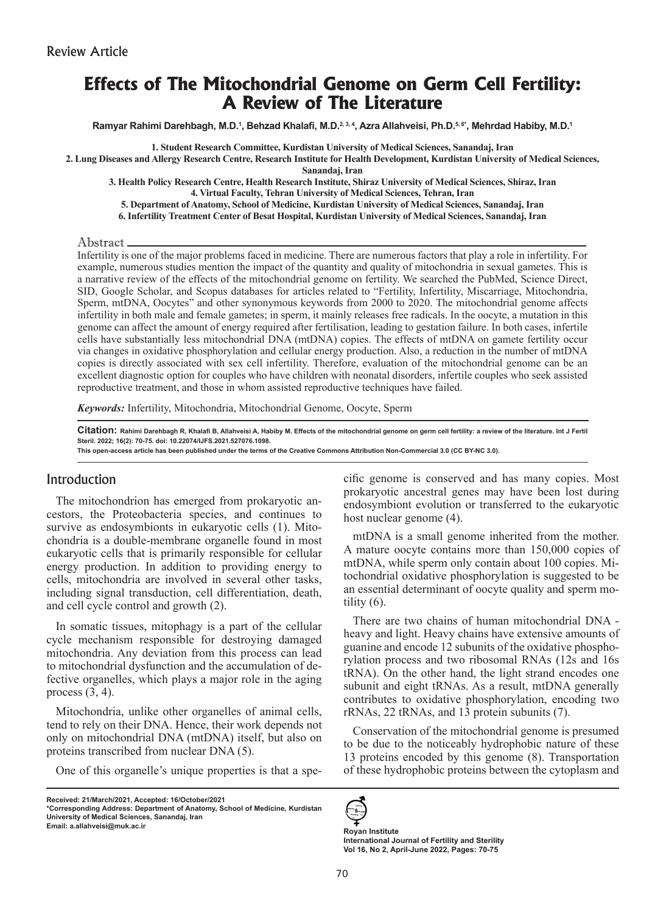# **Effects of The Mitochondrial Genome on Germ Cell Fertility: A Review of The Literature**

**Ramyar Rahimi Darehbagh, M.D.1 , Behzad Khalafi, M.D.2, 3, 4, Azra Allahveisi, Ph.D.5, 6\*, Mehrdad Habiby, M.D.1**

**1. Student Research Committee, Kurdistan University of Medical Sciences, Sanandaj, Iran**

**2. Lung Diseases and Allergy Research Centre, Research Institute for Health Development, Kurdistan University of Medical Sciences, Sanandaj, Iran**

**3. Health Policy Research Centre, Health Research Institute, Shiraz University of Medical Sciences, Shiraz, Iran 4. Virtual Faculty, Tehran University of Medical Sciences, Tehran, Iran**

**5. Department of Anatomy, School of Medicine, Kurdistan University of Medical Sciences, Sanandaj, Iran** 

**6. Infertility Treatment Center of Besat Hospital, Kurdistan University of Medical Sciences, Sanandaj, Iran**

#### Abstract

Infertility is one of the major problems faced in medicine. There are numerous factors that play a role in infertility. For example, numerous studies mention the impact of the quantity and quality of mitochondria in sexual gametes. This is a narrative review of the effects of the mitochondrial genome on fertility. We searched the PubMed, Science Direct, SID, Google Scholar, and Scopus databases for articles related to "Fertility, Infertility, Miscarriage, Mitochondria, Sperm, mtDNA, Oocytes" and other synonymous keywords from 2000 to 2020. The mitochondrial genome affects infertility in both male and female gametes; in sperm, it mainly releases free radicals. In the oocyte, a mutation in this genome can affect the amount of energy required after fertilisation, leading to gestation failure. In both cases, infertile cells have substantially less mitochondrial DNA (mtDNA) copies. The effects of mtDNA on gamete fertility occur via changes in oxidative phosphorylation and cellular energy production. Also, a reduction in the number of mtDNA copies is directly associated with sex cell infertility. Therefore, evaluation of the mitochondrial genome can be an excellent diagnostic option for couples who have children with neonatal disorders, infertile couples who seek assisted reproductive treatment, and those in whom assisted reproductive techniques have failed.

*Keywords:* Infertility, Mitochondria, Mitochondrial Genome, Oocyte, Sperm

Citation: Rahimi Darehbagh R, Khalafi B, Allahveisi A, Habiby M. Effects of the mitochondrial genome on germ cell fertility: a review of the literature. Int J Fertil **Steril. 2022; 16(2): 70-75. doi: 10.22074/IJFS.2021.527076.1098.**

**This open-access article has been published under the terms of the Creative Commons Attribution Non-Commercial 3.0 (CC BY-NC 3.0).**

# Introduction

The mitochondrion has emerged from prokaryotic ancestors, the Proteobacteria species, and continues to survive as endosymbionts in eukaryotic cells (1). Mitochondria is a double-membrane organelle found in most eukaryotic cells that is primarily responsible for cellular energy production. In addition to providing energy to cells, mitochondria are involved in several other tasks, including signal transduction, cell differentiation, death, and cell cycle control and growth (2).

In somatic tissues, mitophagy is a part of the cellular cycle mechanism responsible for destroying damaged mitochondria. Any deviation from this process can lead to mitochondrial dysfunction and the accumulation of defective organelles, which plays a major role in the aging process  $(3, 4)$ .

Mitochondria, unlike other organelles of animal cells, tend to rely on their DNA. Hence, their work depends not only on mitochondrial DNA (mtDNA) itself, but also on proteins transcribed from nuclear DNA (5).

One of this organelle's unique properties is that a spe-

**Received: 21/March/2021, Accepted: 16/October/2021**

**\*Corresponding Address: Department of Anatomy, School of Medicine, Kurdistan University of Medical Sciences, Sanandaj, Iran Email: a.allahveisi@muk.ac.ir Royan Institute**

cific genome is conserved and has many copies. Most prokaryotic ancestral genes may have been lost during endosymbiont evolution or transferred to the eukaryotic host nuclear genome (4).

mtDNA is a small genome inherited from the mother. A mature oocyte contains more than 150,000 copies of mtDNA, while sperm only contain about 100 copies. Mitochondrial oxidative phosphorylation is suggested to be an essential determinant of oocyte quality and sperm motility (6).

There are two chains of human mitochondrial DNA heavy and light. Heavy chains have extensive amounts of guanine and encode 12 subunits of the oxidative phosphorylation process and two ribosomal RNAs (12s and 16s tRNA). On the other hand, the light strand encodes one subunit and eight tRNAs. As a result, mtDNA generally contributes to oxidative phosphorylation, encoding two rRNAs, 22 tRNAs, and 13 protein subunits (7).

Conservation of the mitochondrial genome is presumed to be due to the noticeably hydrophobic nature of these 13 proteins encoded by this genome (8). Transportation of these hydrophobic proteins between the cytoplasm and



**International Journal of Fertility and Sterility Vol 16, No 2, April-June 2022, Pages: 70-75**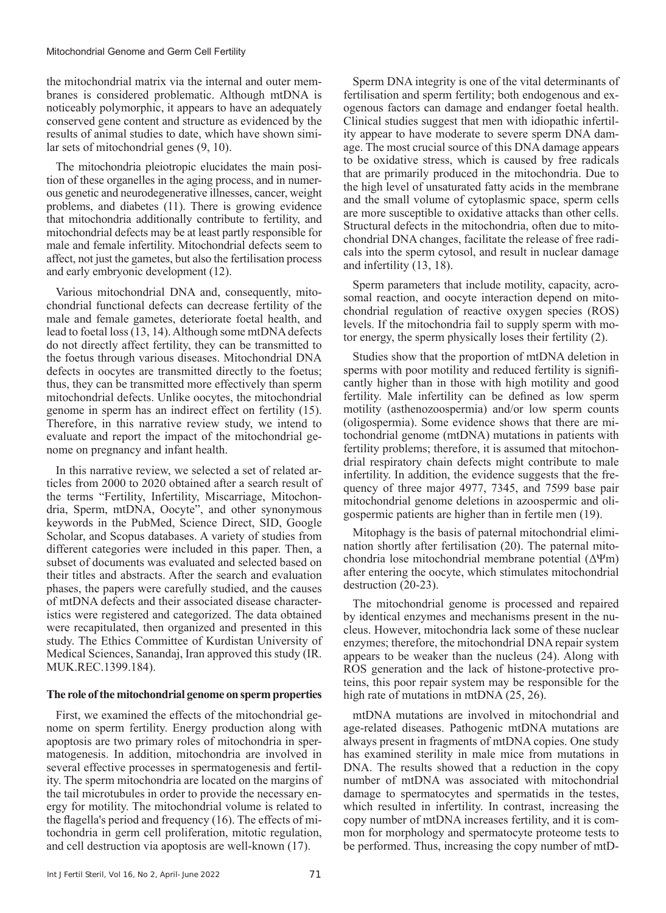the mitochondrial matrix via the internal and outer membranes is considered problematic. Although mtDNA is noticeably polymorphic, it appears to have an adequately conserved gene content and structure as evidenced by the results of animal studies to date, which have shown similar sets of mitochondrial genes (9, 10).

The mitochondria pleiotropic elucidates the main position of these organelles in the aging process, and in numerous genetic and neurodegenerative illnesses, cancer, weight problems, and diabetes (11). There is growing evidence that mitochondria additionally contribute to fertility, and mitochondrial defects may be at least partly responsible for male and female infertility. Mitochondrial defects seem to affect, not just the gametes, but also the fertilisation process and early embryonic development (12).

Various mitochondrial DNA and, consequently, mitochondrial functional defects can decrease fertility of the male and female gametes, deteriorate foetal health, and lead to foetal loss (13, 14). Although some mtDNA defects do not directly affect fertility, they can be transmitted to the foetus through various diseases. Mitochondrial DNA defects in oocytes are transmitted directly to the foetus; thus, they can be transmitted more effectively than sperm mitochondrial defects. Unlike oocytes, the mitochondrial genome in sperm has an indirect effect on fertility (15). Therefore, in this narrative review study, we intend to evaluate and report the impact of the mitochondrial genome on pregnancy and infant health.

In this narrative review, we selected a set of related articles from 2000 to 2020 obtained after a search result of the terms "Fertility, Infertility, Miscarriage, Mitochondria, Sperm, mtDNA, Oocyte", and other synonymous keywords in the PubMed, Science Direct, SID, Google Scholar, and Scopus databases. A variety of studies from different categories were included in this paper. Then, a subset of documents was evaluated and selected based on their titles and abstracts. After the search and evaluation phases, the papers were carefully studied, and the causes of mtDNA defects and their associated disease characteristics were registered and categorized. The data obtained were recapitulated, then organized and presented in this study. The Ethics Committee of Kurdistan University of Medical Sciences, Sanandaj, Iran approved this study (IR. MUK.REC.1399.184).

#### **The role of the mitochondrial genome on sperm properties**

First, we examined the effects of the mitochondrial genome on sperm fertility. Energy production along with apoptosis are two primary roles of mitochondria in spermatogenesis. In addition, mitochondria are involved in several effective processes in spermatogenesis and fertility. The sperm mitochondria are located on the margins of the tail microtubules in order to provide the necessary energy for motility. The mitochondrial volume is related to the flagella's period and frequency (16). The effects of mitochondria in germ cell proliferation, mitotic regulation, and cell destruction via apoptosis are well-known (17).

Sperm DNA integrity is one of the vital determinants of fertilisation and sperm fertility; both endogenous and exogenous factors can damage and endanger foetal health. Clinical studies suggest that men with idiopathic infertility appear to have moderate to severe sperm DNA damage. The most crucial source of this DNA damage appears to be oxidative stress, which is caused by free radicals that are primarily produced in the mitochondria. Due to the high level of unsaturated fatty acids in the membrane and the small volume of cytoplasmic space, sperm cells are more susceptible to oxidative attacks than other cells. Structural defects in the mitochondria, often due to mitochondrial DNA changes, facilitate the release of free radicals into the sperm cytosol, and result in nuclear damage and infertility (13, 18).

Sperm parameters that include motility, capacity, acrosomal reaction, and oocyte interaction depend on mitochondrial regulation of reactive oxygen species (ROS) levels. If the mitochondria fail to supply sperm with motor energy, the sperm physically loses their fertility (2).

Studies show that the proportion of mtDNA deletion in sperms with poor motility and reduced fertility is significantly higher than in those with high motility and good fertility. Male infertility can be defined as low sperm motility (asthenozoospermia) and/or low sperm counts (oligospermia). Some evidence shows that there are mitochondrial genome (mtDNA) mutations in patients with fertility problems; therefore, it is assumed that mitochondrial respiratory chain defects might contribute to male infertility. In addition, the evidence suggests that the frequency of three major 4977, 7345, and 7599 base pair mitochondrial genome deletions in azoospermic and oligospermic patients are higher than in fertile men (19).

Mitophagy is the basis of paternal mitochondrial elimination shortly after fertilisation (20). The paternal mitochondria lose mitochondrial membrane potential (ΔΨm) after entering the oocyte, which stimulates mitochondrial destruction (20-23).

The mitochondrial genome is processed and repaired by identical enzymes and mechanisms present in the nucleus. However, mitochondria lack some of these nuclear enzymes; therefore, the mitochondrial DNA repair system appears to be weaker than the nucleus (24). Along with ROS generation and the lack of histone-protective proteins, this poor repair system may be responsible for the high rate of mutations in mtDNA (25, 26).

mtDNA mutations are involved in mitochondrial and age-related diseases. Pathogenic mtDNA mutations are always present in fragments of mtDNA copies. One study has examined sterility in male mice from mutations in DNA. The results showed that a reduction in the copy number of mtDNA was associated with mitochondrial damage to spermatocytes and spermatids in the testes, which resulted in infertility. In contrast, increasing the copy number of mtDNA increases fertility, and it is common for morphology and spermatocyte proteome tests to be performed. Thus, increasing the copy number of mtD-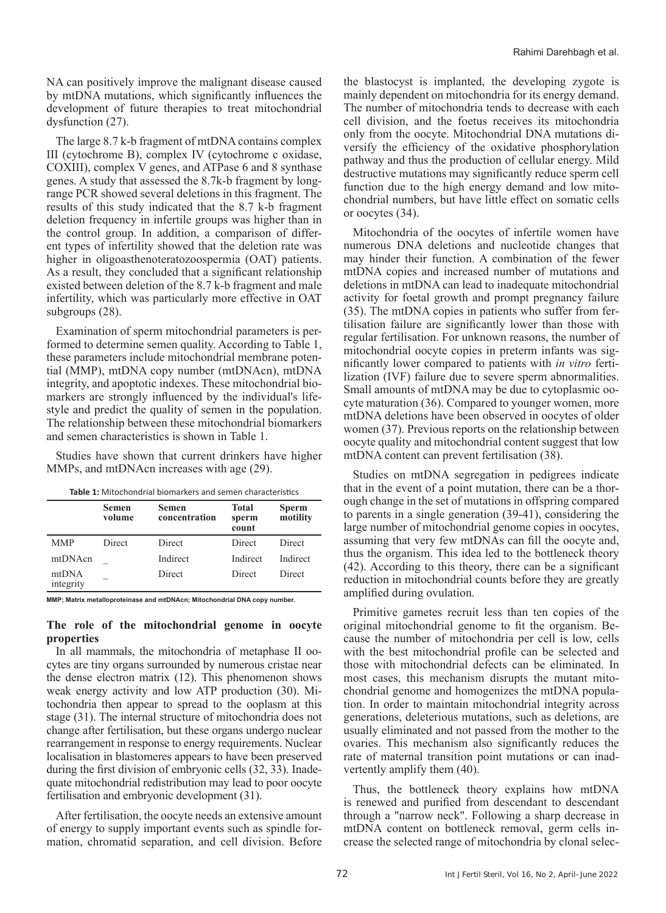NA can positively improve the malignant disease caused by mtDNA mutations, which significantly influences the development of future therapies to treat mitochondrial dysfunction (27).

The large 8.7 k-b fragment of mtDNA contains complex III (cytochrome B), complex IV (cytochrome c oxidase, COXIII), complex V genes, and ATPase 6 and 8 synthase genes. A study that assessed the 8.7k-b fragment by longrange PCR showed several deletions in this fragment. The results of this study indicated that the 8.7 k-b fragment deletion frequency in infertile groups was higher than in the control group. In addition, a comparison of different types of infertility showed that the deletion rate was higher in oligoasthenoteratozoospermia (OAT) patients. As a result, they concluded that a significant relationship existed between deletion of the 8.7 k-b fragment and male infertility, which was particularly more effective in OAT subgroups (28).

Examination of sperm mitochondrial parameters is performed to determine semen quality. According to Table 1, these parameters include mitochondrial membrane potential (MMP), mtDNA copy number (mtDNAcn), mtDNA integrity, and apoptotic indexes. These mitochondrial biomarkers are strongly influenced by the individual's lifestyle and predict the quality of semen in the population. The relationship between these mitochondrial biomarkers and semen characteristics is shown in Table 1.

Studies have shown that current drinkers have higher MMPs, and mtDNAcn increases with age (29).

| <b>Table 1:</b> Mitochondrial biomarkers and semen characteristics |  |
|--------------------------------------------------------------------|--|
|--------------------------------------------------------------------|--|

|                    | <b>Semen</b><br>volume | <b>Semen</b><br>concentration | <b>Total</b><br>sperm<br>count | <b>Sperm</b><br>motility |
|--------------------|------------------------|-------------------------------|--------------------------------|--------------------------|
| <b>MMP</b>         | Direct                 | Direct                        | Direct                         | Direct                   |
| mtDNAcn            |                        | Indirect                      | Indirect                       | Indirect                 |
| mtDNA<br>integrity |                        | Direct                        | Direct                         | Direct                   |

**MMP; Matrix metalloproteinase and mtDNAcn; Mitochondrial DNA copy number.**

#### **The role of the mitochondrial genome in oocyte properties**

In all mammals, the mitochondria of metaphase II oocytes are tiny organs surrounded by numerous cristae near the dense electron matrix (12). This phenomenon shows weak energy activity and low ATP production (30). Mitochondria then appear to spread to the ooplasm at this stage (31). The internal structure of mitochondria does not change after fertilisation, but these organs undergo nuclear rearrangement in response to energy requirements. Nuclear localisation in blastomeres appears to have been preserved during the first division of embryonic cells (32, 33). Inadequate mitochondrial redistribution may lead to poor oocyte fertilisation and embryonic development (31).

After fertilisation, the oocyte needs an extensive amount of energy to supply important events such as spindle formation, chromatid separation, and cell division. Before

the blastocyst is implanted, the developing zygote is mainly dependent on mitochondria for its energy demand. The number of mitochondria tends to decrease with each cell division, and the foetus receives its mitochondria only from the oocyte. Mitochondrial DNA mutations diversify the efficiency of the oxidative phosphorylation pathway and thus the production of cellular energy. Mild destructive mutations may significantly reduce sperm cell function due to the high energy demand and low mitochondrial numbers, but have little effect on somatic cells or oocytes (34).

Mitochondria of the oocytes of infertile women have numerous DNA deletions and nucleotide changes that may hinder their function. A combination of the fewer mtDNA copies and increased number of mutations and deletions in mtDNA can lead to inadequate mitochondrial activity for foetal growth and prompt pregnancy failure (35). The mtDNA copies in patients who suffer from fertilisation failure are significantly lower than those with regular fertilisation. For unknown reasons, the number of mitochondrial oocyte copies in preterm infants was significantly lower compared to patients with *in vitro* fertilization (IVF) failure due to severe sperm abnormalities. Small amounts of mtDNA may be due to cytoplasmic oocyte maturation (36). Compared to younger women, more mtDNA deletions have been observed in oocytes of older women (37). Previous reports on the relationship between oocyte quality and mitochondrial content suggest that low mtDNA content can prevent fertilisation (38).

Studies on mtDNA segregation in pedigrees indicate that in the event of a point mutation, there can be a thorough change in the set of mutations in offspring compared to parents in a single generation (39-41), considering the large number of mitochondrial genome copies in oocytes, assuming that very few mtDNAs can fill the oocyte and, thus the organism. This idea led to the bottleneck theory (42). According to this theory, there can be a significant reduction in mitochondrial counts before they are greatly amplified during ovulation.

Primitive gametes recruit less than ten copies of the original mitochondrial genome to fit the organism. Because the number of mitochondria per cell is low, cells with the best mitochondrial profile can be selected and those with mitochondrial defects can be eliminated. In most cases, this mechanism disrupts the mutant mitochondrial genome and homogenizes the mtDNA population. In order to maintain mitochondrial integrity across generations, deleterious mutations, such as deletions, are usually eliminated and not passed from the mother to the ovaries. This mechanism also significantly reduces the rate of maternal transition point mutations or can inadvertently amplify them (40).

Thus, the bottleneck theory explains how mtDNA is renewed and purified from descendant to descendant through a "narrow neck". Following a sharp decrease in mtDNA content on bottleneck removal, germ cells increase the selected range of mitochondria by clonal selec-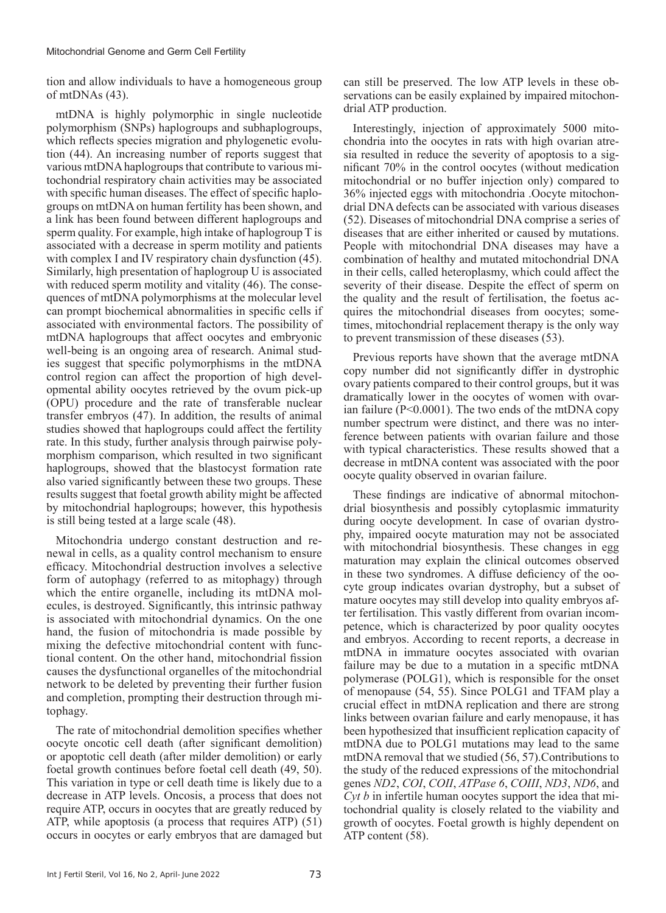#### Mitochondrial Genome and Germ Cell Fertility

tion and allow individuals to have a homogeneous group of mtDNAs (43).

mtDNA is highly polymorphic in single nucleotide polymorphism (SNPs) haplogroups and subhaplogroups, which reflects species migration and phylogenetic evolution (44). An increasing number of reports suggest that various mtDNA haplogroups that contribute to various mitochondrial respiratory chain activities may be associated with specific human diseases. The effect of specific haplogroups on mtDNA on human fertility has been shown, and a link has been found between different haplogroups and sperm quality. For example, high intake of haplogroup T is associated with a decrease in sperm motility and patients with complex I and IV respiratory chain dysfunction  $(45)$ . Similarly, high presentation of haplogroup U is associated with reduced sperm motility and vitality (46). The consequences of mtDNA polymorphisms at the molecular level can prompt biochemical abnormalities in specific cells if associated with environmental factors. The possibility of mtDNA haplogroups that affect oocytes and embryonic well-being is an ongoing area of research. Animal studies suggest that specific polymorphisms in the mtDNA control region can affect the proportion of high developmental ability oocytes retrieved by the ovum pick-up (OPU) procedure and the rate of transferable nuclear transfer embryos (47). In addition, the results of animal studies showed that haplogroups could affect the fertility rate. In this study, further analysis through pairwise polymorphism comparison, which resulted in two significant haplogroups, showed that the blastocyst formation rate also varied significantly between these two groups. These results suggest that foetal growth ability might be affected by mitochondrial haplogroups; however, this hypothesis is still being tested at a large scale (48).

Mitochondria undergo constant destruction and renewal in cells, as a quality control mechanism to ensure efficacy. Mitochondrial destruction involves a selective form of autophagy (referred to as mitophagy) through which the entire organelle, including its mtDNA molecules, is destroyed. Significantly, this intrinsic pathway is associated with mitochondrial dynamics. On the one hand, the fusion of mitochondria is made possible by mixing the defective mitochondrial content with functional content. On the other hand, mitochondrial fission causes the dysfunctional organelles of the mitochondrial network to be deleted by preventing their further fusion and completion, prompting their destruction through mitophagy.

The rate of mitochondrial demolition specifies whether oocyte oncotic cell death (after significant demolition) or apoptotic cell death (after milder demolition) or early foetal growth continues before foetal cell death (49, 50). This variation in type or cell death time is likely due to a decrease in ATP levels. Oncosis, a process that does not require ATP, occurs in oocytes that are greatly reduced by ATP, while apoptosis (a process that requires ATP) (51) occurs in oocytes or early embryos that are damaged but

can still be preserved. The low ATP levels in these observations can be easily explained by impaired mitochondrial ATP production.

Interestingly, injection of approximately 5000 mitochondria into the oocytes in rats with high ovarian atresia resulted in reduce the severity of apoptosis to a significant 70% in the control oocytes (without medication mitochondrial or no buffer injection only) compared to 36% injected eggs with mitochondria .Oocyte mitochondrial DNA defects can be associated with various diseases (52). Diseases of mitochondrial DNA comprise a series of diseases that are either inherited or caused by mutations. People with mitochondrial DNA diseases may have a combination of healthy and mutated mitochondrial DNA in their cells, called heteroplasmy, which could affect the severity of their disease. Despite the effect of sperm on the quality and the result of fertilisation, the foetus acquires the mitochondrial diseases from oocytes; sometimes, mitochondrial replacement therapy is the only way to prevent transmission of these diseases (53).

Previous reports have shown that the average mtDNA copy number did not significantly differ in dystrophic ovary patients compared to their control groups, but it was dramatically lower in the oocytes of women with ovarian failure (P<0.0001). The two ends of the mtDNA copy number spectrum were distinct, and there was no interference between patients with ovarian failure and those with typical characteristics. These results showed that a decrease in mtDNA content was associated with the poor oocyte quality observed in ovarian failure.

These findings are indicative of abnormal mitochondrial biosynthesis and possibly cytoplasmic immaturity during oocyte development. In case of ovarian dystrophy, impaired oocyte maturation may not be associated with mitochondrial biosynthesis. These changes in egg maturation may explain the clinical outcomes observed in these two syndromes. A diffuse deficiency of the oocyte group indicates ovarian dystrophy, but a subset of mature oocytes may still develop into quality embryos after fertilisation. This vastly different from ovarian incompetence, which is characterized by poor quality oocytes and embryos. According to recent reports, a decrease in mtDNA in immature oocytes associated with ovarian failure may be due to a mutation in a specific mtDNA polymerase (POLG1), which is responsible for the onset of menopause (54, 55). Since POLG1 and TFAM play a crucial effect in mtDNA replication and there are strong links between ovarian failure and early menopause, it has been hypothesized that insufficient replication capacity of mtDNA due to POLG1 mutations may lead to the same mtDNA removal that we studied (56, 57).Contributions to the study of the reduced expressions of the mitochondrial genes *ND2*, *COI*, *COII*, *ATPase 6*, *COIII*, *ND3*, *ND6*, and *Cyt b* in infertile human oocytes support the idea that mitochondrial quality is closely related to the viability and growth of oocytes. Foetal growth is highly dependent on ATP content (58).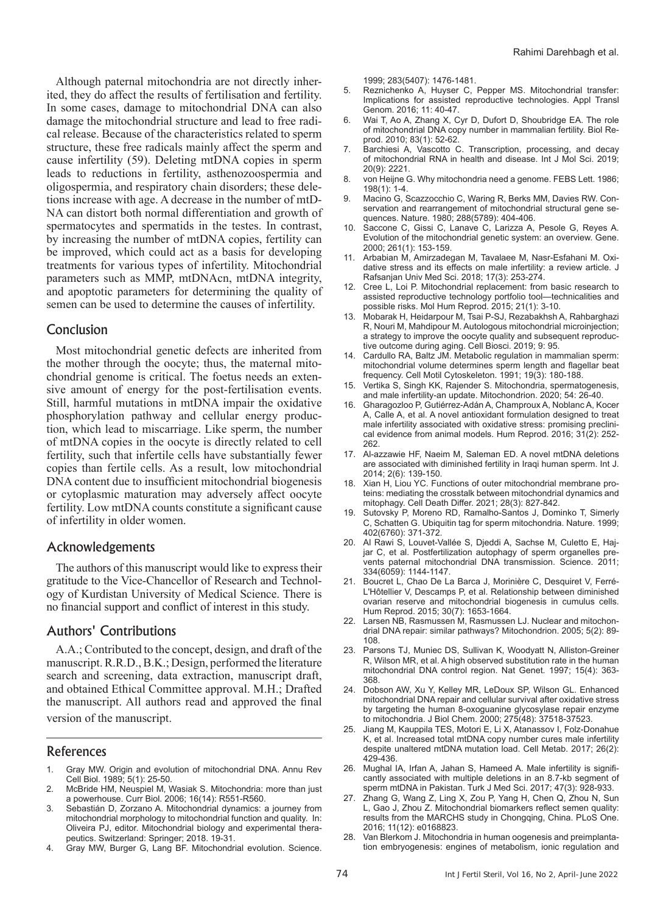Although paternal mitochondria are not directly inherited, they do affect the results of fertilisation and fertility. In some cases, damage to mitochondrial DNA can also damage the mitochondrial structure and lead to free radical release. Because of the characteristics related to sperm structure, these free radicals mainly affect the sperm and cause infertility (59). Deleting mtDNA copies in sperm leads to reductions in fertility, asthenozoospermia and oligospermia, and respiratory chain disorders; these deletions increase with age. A decrease in the number of mtD-NA can distort both normal differentiation and growth of spermatocytes and spermatids in the testes. In contrast, by increasing the number of mtDNA copies, fertility can be improved, which could act as a basis for developing treatments for various types of infertility. Mitochondrial parameters such as MMP, mtDNAcn, mtDNA integrity, and apoptotic parameters for determining the quality of semen can be used to determine the causes of infertility.

## Conclusion

Most mitochondrial genetic defects are inherited from the mother through the oocyte; thus, the maternal mitochondrial genome is critical. The foetus needs an extensive amount of energy for the post-fertilisation events. Still, harmful mutations in mtDNA impair the oxidative phosphorylation pathway and cellular energy production, which lead to miscarriage. Like sperm, the number of mtDNA copies in the oocyte is directly related to cell fertility, such that infertile cells have substantially fewer copies than fertile cells. As a result, low mitochondrial DNA content due to insufficient mitochondrial biogenesis or cytoplasmic maturation may adversely affect oocyte fertility. Low mtDNA counts constitute a significant cause of infertility in older women.

### Acknowledgements

The authors of this manuscript would like to express their gratitude to the Vice-Chancellor of Research and Technology of Kurdistan University of Medical Science. There is no financial support and conflict of interest in this study.

### Authors' Contributions

A.A.; Contributed to the concept, design, and draft of the manuscript. R.R.D., B.K.; Design, performed the literature search and screening, data extraction, manuscript draft, and obtained Ethical Committee approval. M.H.; Drafted the manuscript. All authors read and approved the final version of the manuscript.

# References

- 1. Gray MW. Origin and evolution of mitochondrial DNA. Annu Rev Cell Biol. 1989; 5(1): 25-50.
- 2. McBride HM, Neuspiel M, Wasiak S. Mitochondria: more than just a powerhouse. Curr Biol. 2006; 16(14): R551-R560.
- 3. Sebastián D, Zorzano A. Mitochondrial dynamics: a journey from mitochondrial morphology to mitochondrial function and quality. In: Oliveira PJ, editor. Mitochondrial biology and experimental therapeutics. Switzerland: Springer; 2018. 19-31.
- 4. Gray MW, Burger G, Lang BF. Mitochondrial evolution. Science.

1999; 283(5407): 1476-1481.

- 5. Reznichenko A, Huyser C, Pepper MS. Mitochondrial transfer: Implications for assisted reproductive technologies. Appl Transl Genom. 2016; 11: 40-47.
- 6. Wai T, Ao A, Zhang X, Cyr D, Dufort D, Shoubridge EA. The role of mitochondrial DNA copy number in mammalian fertility. Biol Reprod. 2010; 83(1): 52-62.
- 7. Barchiesi A, Vascotto C. Transcription, processing, and decay of mitochondrial RNA in health and disease. Int J Mol Sci. 2019; 20(9): 2221.
- 8. von Heijne G. Why mitochondria need a genome. FEBS Lett. 1986; 198(1): 1-4.
- 9. Macino G, Scazzocchio C, Waring R, Berks MM, Davies RW. Conservation and rearrangement of mitochondrial structural gene sequences. Nature. 1980; 288(5789): 404-406.
- 10. Saccone C, Gissi C, Lanave C, Larizza A, Pesole G, Reyes A. Evolution of the mitochondrial genetic system: an overview. Gene. 2000; 261(1): 153-159.
- 11. Arbabian M, Amirzadegan M, Tavalaee M, Nasr-Esfahani M. Oxidative stress and its effects on male infertility: a review article. J Rafsanjan Univ Med Sci. 2018; 17(3): 253-274.
- 12. Cree L, Loi P. Mitochondrial replacement: from basic research to assisted reproductive technology portfolio tool—technicalities and possible risks. Mol Hum Reprod. 2015; 21(1): 3-10.
- 13. Mobarak H, Heidarpour M, Tsai P-SJ, Rezabakhsh A, Rahbarghazi R, Nouri M, Mahdipour M. Autologous mitochondrial microinjection; a strategy to improve the oocyte quality and subsequent reproductive outcome during aging. Cell Biosci. 2019; 9: 95.
- 14. Cardullo RA, Baltz JM. Metabolic regulation in mammalian sperm: mitochondrial volume determines sperm length and flagellar beat frequency. Cell Motil Cytoskeleton. 1991; 19(3): 180-188.
- 15. Vertika S, Singh KK, Rajender S. Mitochondria, spermatogenesis, and male infertility-an update. Mitochondrion. 2020; 54: 26-40.
- 16. Gharagozloo P, Gutiérrez-Adán A, Champroux A, Noblanc A, Kocer A, Calle A, et al. A novel antioxidant formulation designed to treat male infertility associated with oxidative stress: promising preclinical evidence from animal models. Hum Reprod. 2016; 31(2): 252- 262.
- 17. Al-azzawie HF, Naeim M, Saleman ED. A novel mtDNA deletions are associated with diminished fertility in Iraqi human sperm. Int J. 2014; 2(6): 139-150.
- 18. Xian H, Liou YC. Functions of outer mitochondrial membrane proteins: mediating the crosstalk between mitochondrial dynamics and mitophagy. Cell Death Differ. 2021; 28(3): 827-842.
- 19. Sutovsky P, Moreno RD, Ramalho-Santos J, Dominko T, Simerly C, Schatten G. Ubiquitin tag for sperm mitochondria. Nature. 1999; 402(6760): 371-372.
- 20. Al Rawi S, Louvet-Vallée S, Djeddi A, Sachse M, Culetto E, Hajjar C, et al. Postfertilization autophagy of sperm organelles prevents paternal mitochondrial DNA transmission. Science. 2011; 334(6059): 1144-1147.
- 21. Boucret L, Chao De La Barca J, Morinière C, Desquiret V, Ferré-L'Hôtellier V, Descamps P, et al. Relationship between diminished ovarian reserve and mitochondrial biogenesis in cumulus cells. Hum Reprod. 2015; 30(7): 1653-1664.
- 22. Larsen NB, Rasmussen M, Rasmussen LJ. Nuclear and mitochondrial DNA repair: similar pathways? Mitochondrion. 2005; 5(2): 89- 108.
- 23. Parsons TJ, Muniec DS, Sullivan K, Woodyatt N, Alliston-Greiner R, Wilson MR, et al. A high observed substitution rate in the human mitochondrial DNA control region. Nat Genet. 1997; 15(4): 363- 368.
- 24. Dobson AW, Xu Y, Kelley MR, LeDoux SP, Wilson GL. Enhanced mitochondrial DNA repair and cellular survival after oxidative stress by targeting the human 8-oxoguanine glycosylase repair enzyme to mitochondria. J Biol Chem. 2000; 275(48): 37518-37523.
- 25. Jiang M, Kauppila TES, Motori E, Li X, Atanassov I, Folz-Donahue K, et al. Increased total mtDNA copy number cures male infertility despite unaltered mtDNA mutation load. Cell Metab. 2017; 26(2): 429-436.
- 26. Mughal IA, Irfan A, Jahan S, Hameed A. Male infertility is significantly associated with multiple deletions in an 8.7-kb segment of sperm mtDNA in Pakistan. Turk J Med Sci. 2017; 47(3): 928-933.
- 27. Zhang G, Wang Z, Ling X, Zou P, Yang H, Chen Q, Zhou N, Sun L, Gao J, Zhou Z. Mitochondrial biomarkers reflect semen quality: results from the MARCHS study in Chongqing, China. PLoS One. 2016; 11(12): e0168823.
- 28. Van Blerkom J. Mitochondria in human oogenesis and preimplantation embryogenesis: engines of metabolism, ionic regulation and